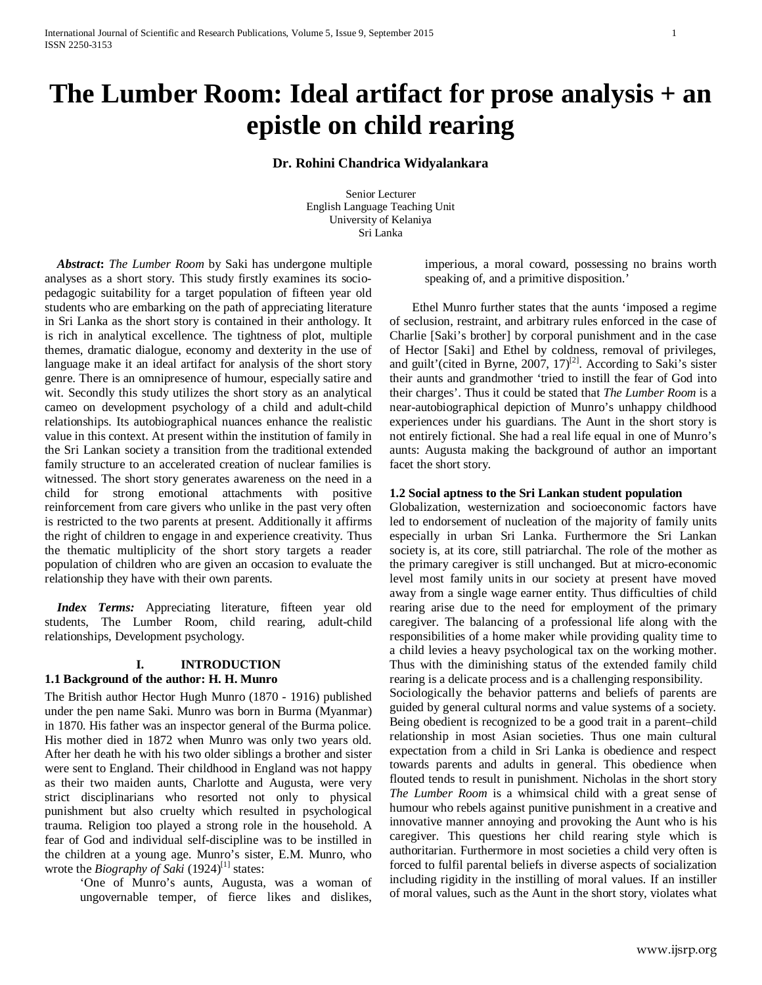# **The Lumber Room: Ideal artifact for prose analysis + an epistle on child rearing**

## **Dr. Rohini Chandrica Widyalankara**

Senior Lecturer English Language Teaching Unit University of Kelaniya Sri Lanka

 *Abstract***:** *The Lumber Room* by Saki has undergone multiple analyses as a short story. This study firstly examines its sociopedagogic suitability for a target population of fifteen year old students who are embarking on the path of appreciating literature in Sri Lanka as the short story is contained in their anthology. It is rich in analytical excellence. The tightness of plot, multiple themes, dramatic dialogue, economy and dexterity in the use of language make it an ideal artifact for analysis of the short story genre. There is an omnipresence of humour, especially satire and wit. Secondly this study utilizes the short story as an analytical cameo on development psychology of a child and adult-child relationships. Its autobiographical nuances enhance the realistic value in this context. At present within the institution of family in the Sri Lankan society a transition from the traditional extended family structure to an accelerated creation of nuclear families is witnessed. The short story generates awareness on the need in a child for strong emotional attachments with positive reinforcement from care givers who unlike in the past very often is restricted to the two parents at present. Additionally it affirms the right of children to engage in and experience creativity. Thus the thematic multiplicity of the short story targets a reader population of children who are given an occasion to evaluate the relationship they have with their own parents.

 *Index Terms:* Appreciating literature, fifteen year old students, The Lumber Room, child rearing, adult-child relationships, Development psychology.

## **I. INTRODUCTION 1.1 Background of the author: H. H. Munro**

The British author Hector Hugh Munro (1870 - 1916) published under the pen name Saki. Munro was born in Burma (Myanmar) in 1870. His father was an inspector general of the Burma police. His mother died in 1872 when Munro was only two years old. After her death he with his two older siblings a brother and sister were sent to England. Their childhood in England was not happy as their two maiden aunts, Charlotte and Augusta, were very strict disciplinarians who resorted not only to physical punishment but also cruelty which resulted in psychological trauma. Religion too played a strong role in the household. A fear of God and individual self-discipline was to be instilled in the children at a young age. Munro's sister, E.M. Munro, who wrote the *Biography of Saki* (1924)<sup>[1]</sup> states:

> <span id="page-0-0"></span>'One of Munro's aunts, Augusta, was a woman of ungovernable temper, of fierce likes and dislikes,

imperious, a moral coward, possessing no brains worth speaking of, and a primitive disposition.'

Ethel Munro further states that the aunts 'imposed a regime of seclusion, restraint, and arbitrary rules enforced in the case of Charlie [Saki's brother] by corporal punishment and in the case of Hector [Saki] and Ethel by coldness, removal of privileges, and guilt'(cited in Byrne, 2007,  $17$ )<sup>[2]</sup>. According to Saki's sister their aunts and grandmother 'tried to instill the fear of God into their charges'. Thus it could be stated that *The Lumber Room* is a near-autobiographical depiction of Munro's unhappy childhood experiences under his guardians. The Aunt in the short story is not entirely fictional. She had a real life equal in one of Munro's aunts: Augusta making the background of author an important facet the short story.

#### **1.2 Social aptness to the Sri Lankan student population**

Globalization, westernization and socioeconomic factors have led to endorsement of nucleation of the majority of family units especially in urban Sri Lanka. Furthermore the Sri Lankan society is, at its core, still patriarchal. The role of the mother as the primary caregiver is still unchanged. But at micro-economic level most family units in our society at present have moved away from a single wage earner entity. Thus difficulties of child rearing arise due to the need for employment of the primary caregiver. The balancing of a professional life along with the responsibilities of a home maker while providing quality time to a child levies a heavy psychological tax on the working mother. Thus with the diminishing status of the extended family child rearing is a delicate process and is a challenging responsibility.

Sociologically the behavior patterns and beliefs of parents are guided by general cultural norms and value systems of a society. Being obedient is recognized to be a good trait in a parent–child relationship in most Asian societies. Thus one main cultural expectation from a child in Sri Lanka is obedience and respect towards parents and adults in general. This obedience when flouted tends to result in punishment. Nicholas in the short story *The Lumber Room* is a whimsical child with a great sense of humour who rebels against punitive punishment in a creative and innovative manner annoying and provoking the Aunt who is his caregiver. This questions her child rearing style which is authoritarian. Furthermore in most societies a child very often is forced to fulfil parental beliefs in diverse aspects of socialization including rigidity in the instilling of moral values. If an instiller of moral values, such as the Aunt in the short story, violates what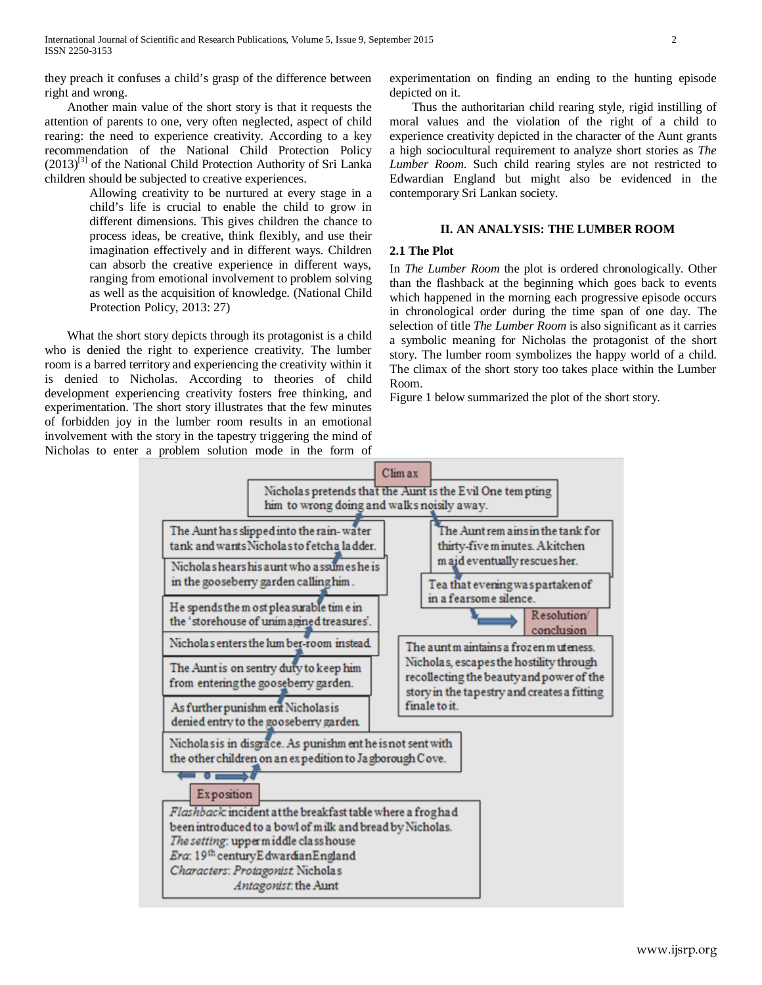they preach it confuses a child's grasp of the difference between right and wrong.

Another main value of the short story is that it requests the attention of parents to one, very often neglected, aspect of child rearing: the need to experience creativity. According to a key recommendation of the National Child Protection Policy  $(2013)^{[3]}$  of the National Child Protection Authority of Sri Lanka children should be subjected to creative experiences.

> Allowing creativity to be nurtured at every stage in a child's life is crucial to enable the child to grow in different dimensions. This gives children the chance to process ideas, be creative, think flexibly, and use their imagination effectively and in different ways. Children can absorb the creative experience in different ways, ranging from emotional involvement to problem solving as well as the acquisition of knowledge. (National Child Protection Policy, 2013: 27)

What the short story depicts through its protagonist is a child who is denied the right to experience creativity. The lumber room is a barred territory and experiencing the creativity within it is denied to Nicholas. According to theories of child development experiencing creativity fosters free thinking, and experimentation. The short story illustrates that the few minutes of forbidden joy in the lumber room results in an emotional involvement with the story in the tapestry triggering the mind of Nicholas to enter a problem solution mode in the form of experimentation on finding an ending to the hunting episode depicted on it.

Thus the authoritarian child rearing style, rigid instilling of moral values and the violation of the right of a child to experience creativity depicted in the character of the Aunt grants a high sociocultural requirement to analyze short stories as *The Lumber Room*. Such child rearing styles are not restricted to Edwardian England but might also be evidenced in the contemporary Sri Lankan society.

## **II. AN ANALYSIS: THE LUMBER ROOM**

#### **2.1 The Plot**

In *The Lumber Room* the plot is ordered chronologically. Other than the flashback at the beginning which goes back to events which happened in the morning each progressive episode occurs in chronological order during the time span of one day. The selection of title *The Lumber Room* is also significant as it carries a symbolic meaning for Nicholas the protagonist of the short story. The lumber room symbolizes the happy world of a child. The climax of the short story too takes place within the Lumber Room.

Figure 1 below summarized the plot of the short story.

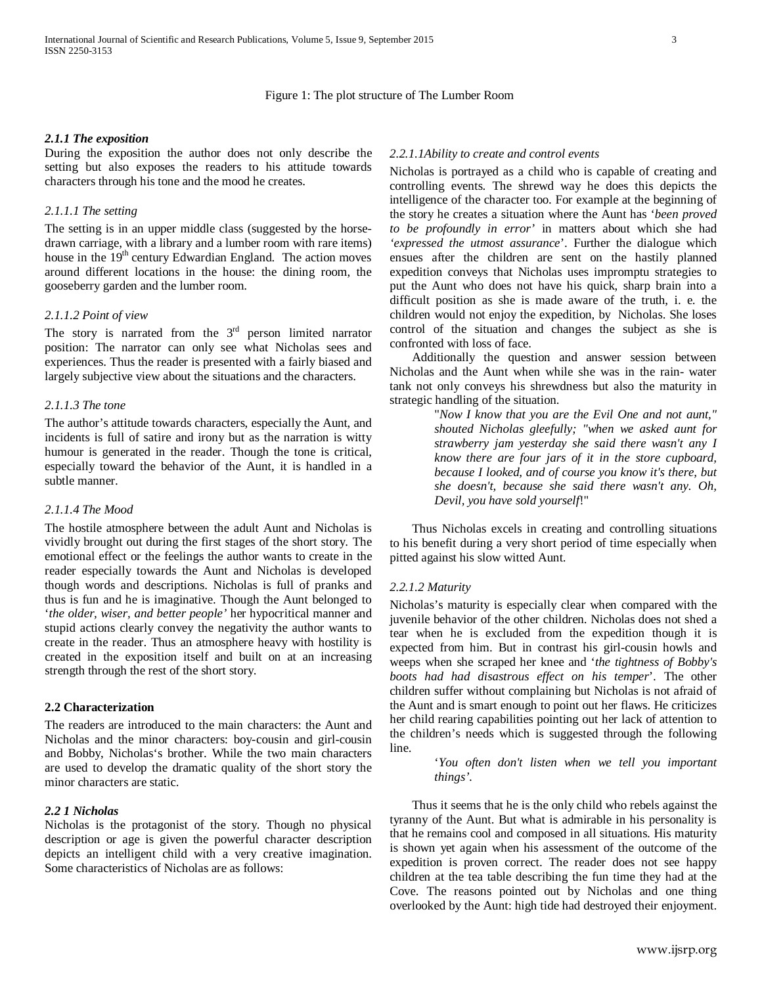# Figure 1: The plot structure of The Lumber Room

#### *2.1.1 The exposition*

During the exposition the author does not only describe the setting but also exposes the readers to his attitude towards characters through his tone and the mood he creates.

#### *2.1.1.1 The setting*

The setting is in an upper middle class (suggested by the horsedrawn carriage, with a library and a lumber room with rare items) house in the  $19<sup>th</sup>$  century Edwardian England. The action moves around different locations in the house: the dining room, the gooseberry garden and the lumber room*.*

#### *2.1.1.2 Point of view*

The story is narrated from the  $3<sup>rd</sup>$  person limited narrator position: The narrator can only see what Nicholas sees and experiences. Thus the reader is presented with a fairly biased and largely subjective view about the situations and the characters.

## *2.1.1.3 The tone*

The author's attitude towards characters, especially the Aunt, and incidents is full of satire and irony but as the narration is witty humour is generated in the reader. Though the tone is critical, especially toward the behavior of the Aunt, it is handled in a subtle manner.

#### *2.1.1.4 The Mood*

The hostile atmosphere between the adult Aunt and Nicholas is vividly brought out during the first stages of the short story. The emotional effect or the feelings the author wants to create in the reader especially towards the Aunt and Nicholas is developed though words and descriptions. Nicholas is full of pranks and thus is fun and he is imaginative. Though the Aunt belonged to '*the older, wiser, and better people'* her hypocritical manner and stupid actions clearly convey the negativity the author wants to create in the reader. Thus an atmosphere heavy with hostility is created in the exposition itself and built on at an increasing strength through the rest of the short story.

#### **2.2 Characterization**

The readers are introduced to the main characters: the Aunt and Nicholas and the minor characters: boy-cousin and girl-cousin and Bobby, Nicholas's brother. While the two main characters are used to develop the dramatic quality of the short story the minor characters are static.

#### *2.2 1 Nicholas*

Nicholas is the protagonist of the story. Though no physical description or age is given the powerful character description depicts an intelligent child with a very creative imagination. Some characteristics of Nicholas are as follows:

#### *2.2.1.1Ability to create and control events*

Nicholas is portrayed as a child who is capable of creating and controlling events. The shrewd way he does this depicts the intelligence of the character too. For example at the beginning of the story he creates a situation where the Aunt has '*been proved to be profoundly in error'* in matters about which she had *'expressed the utmost assurance*'. Further the dialogue which ensues after the children are sent on the hastily planned expedition conveys that Nicholas uses impromptu strategies to put the Aunt who does not have his quick, sharp brain into a difficult position as she is made aware of the truth, i. e. the children would not enjoy the expedition, by Nicholas. She loses control of the situation and changes the subject as she is confronted with loss of face.

Additionally the question and answer session between Nicholas and the Aunt when while she was in the rain- water tank not only conveys his shrewdness but also the maturity in strategic handling of the situation.

> "*Now I know that you are the Evil One and not aunt," shouted Nicholas gleefully; "when we asked aunt for strawberry jam yesterday she said there wasn't any I know there are four jars of it in the store cupboard, because I looked, and of course you know it's there, but she doesn't, because she said there wasn't any. Oh, Devil, you have sold yourself*!"

Thus Nicholas excels in creating and controlling situations to his benefit during a very short period of time especially when pitted against his slow witted Aunt.

#### *2.2.1.2 Maturity*

Nicholas's maturity is especially clear when compared with the juvenile behavior of the other children. Nicholas does not shed a tear when he is excluded from the expedition though it is expected from him. But in contrast his girl-cousin howls and weeps when she scraped her knee and '*the tightness of Bobby's boots had had disastrous effect on his temper*'. The other children suffer without complaining but Nicholas is not afraid of the Aunt and is smart enough to point out her flaws. He criticizes her child rearing capabilities pointing out her lack of attention to the children's needs which is suggested through the following line.

> '*You often don't listen when we tell you important things'*.

Thus it seems that he is the only child who rebels against the tyranny of the Aunt. But what is admirable in his personality is that he remains cool and composed in all situations. His maturity is shown yet again when his assessment of the outcome of the expedition is proven correct. The reader does not see happy children at the tea table describing the fun time they had at the Cove. The reasons pointed out by Nicholas and one thing overlooked by the Aunt: high tide had destroyed their enjoyment.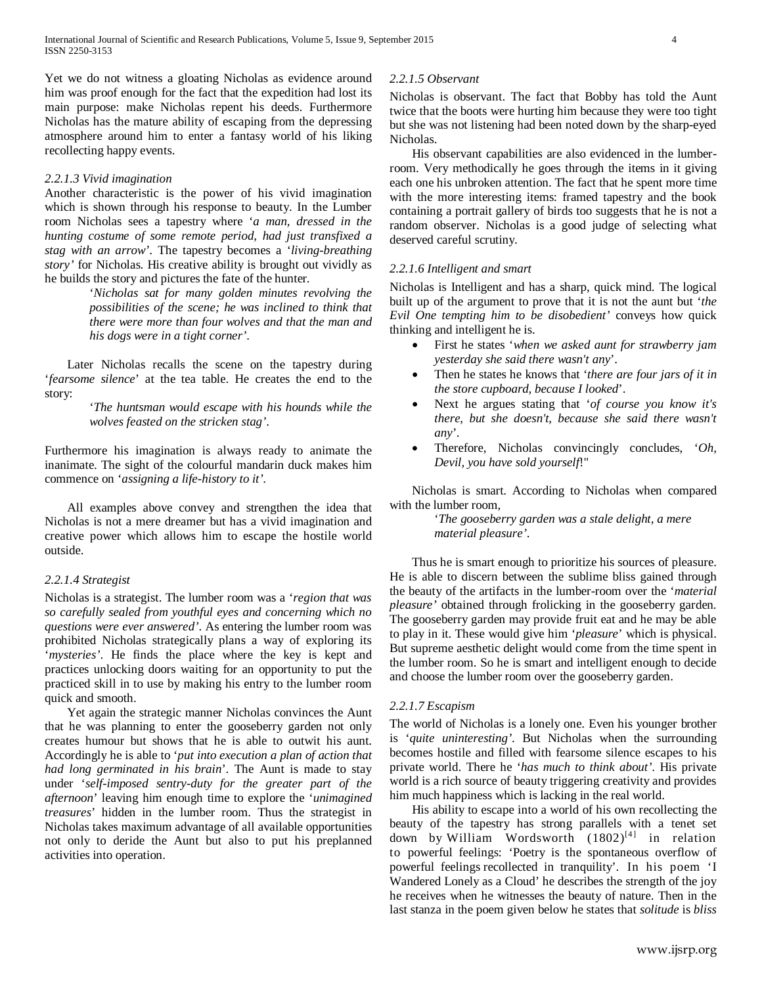Yet we do not witness a gloating Nicholas as evidence around him was proof enough for the fact that the expedition had lost its main purpose: make Nicholas repent his deeds. Furthermore Nicholas has the mature ability of escaping from the depressing atmosphere around him to enter a fantasy world of his liking recollecting happy events.

#### *2.2.1.3 Vivid imagination*

Another characteristic is the power of his vivid imagination which is shown through his response to beauty. In the Lumber room Nicholas sees a tapestry where '*a man, dressed in the hunting costume of some remote period, had just transfixed a stag with an arrow'*. The tapestry becomes a '*living-breathing story'* for Nicholas. His creative ability is brought out vividly as he builds the story and pictures the fate of the hunter.

> '*Nicholas sat for many golden minutes revolving the possibilities of the scene; he was inclined to think that there were more than four wolves and that the man and his dogs were in a tight corner'*.

Later Nicholas recalls the scene on the tapestry during '*fearsome silence*' at the tea table. He creates the end to the story:

> '*The huntsman would escape with his hounds while the wolves feasted on the stricken stag'*.

Furthermore his imagination is always ready to animate the inanimate. The sight of the colourful mandarin duck makes him commence on '*assigning a life-history to it'.*

All examples above convey and strengthen the idea that Nicholas is not a mere dreamer but has a vivid imagination and creative power which allows him to escape the hostile world outside.

## *2.2.1.4 Strategist*

Nicholas is a strategist. The lumber room was a '*region that was so carefully sealed from youthful eyes and concerning which no questions were ever answered'*. As entering the lumber room was prohibited Nicholas strategically plans a way of exploring its '*mysteries'*. He finds the place where the key is kept and practices unlocking doors waiting for an opportunity to put the practiced skill in to use by making his entry to the lumber room quick and smooth.

Yet again the strategic manner Nicholas convinces the Aunt that he was planning to enter the gooseberry garden not only creates humour but shows that he is able to outwit his aunt. Accordingly he is able to '*put into execution a plan of action that had long germinated in his brain*'. The Aunt is made to stay under '*self-imposed sentry-duty for the greater part of the afternoon*' leaving him enough time to explore the '*unimagined treasures*' hidden in the lumber room. Thus the strategist in Nicholas takes maximum advantage of all available opportunities not only to deride the Aunt but also to put his preplanned activities into operation.

## *2.2.1.5 Observant*

Nicholas is observant. The fact that Bobby has told the Aunt twice that the boots were hurting him because they were too tight but she was not listening had been noted down by the sharp-eyed Nicholas.

His observant capabilities are also evidenced in the lumberroom. Very methodically he goes through the items in it giving each one his unbroken attention. The fact that he spent more time with the more interesting items: framed tapestry and the book containing a portrait gallery of birds too suggests that he is not a random observer. Nicholas is a good judge of selecting what deserved careful scrutiny.

## *2.2.1.6 Intelligent and smart*

Nicholas is Intelligent and has a sharp, quick mind. The logical built up of the argument to prove that it is not the aunt but '*the Evil One tempting him to be disobedient'* conveys how quick thinking and intelligent he is.

- First he states '*when we asked aunt for strawberry jam yesterday she said there wasn't any*'.
- Then he states he knows that '*there are four jars of it in the store cupboard, because I looked*'.
- Next he argues stating that '*of course you know it's there, but she doesn't, because she said there wasn't any*'.
- Therefore, Nicholas convincingly concludes, '*Oh, Devil, you have sold yourself*!"

Nicholas is smart. According to Nicholas when compared with the lumber room,

> '*The gooseberry garden was a stale delight, a mere material pleasure'*.

Thus he is smart enough to prioritize his sources of pleasure. He is able to discern between the sublime bliss gained through the beauty of the artifacts in the lumber-room over the '*material pleasure'* obtained through frolicking in the gooseberry garden. The gooseberry garden may provide fruit eat and he may be able to play in it. These would give him '*pleasure*' which is physical. But supreme aesthetic delight would come from the time spent in the lumber room. So he is smart and intelligent enough to decide and choose the lumber room over the gooseberry garden.

## *2.2.1.7 Escapism*

The world of Nicholas is a lonely one. Even his younger brother is '*quite uninteresting'*. But Nicholas when the surrounding becomes hostile and filled with fearsome silence escapes to his private world. There he '*has much to think about'*. His private world is a rich source of beauty triggering creativity and provides him much happiness which is lacking in the real world.

His ability to escape into a world of his own recollecting the beauty of the tapestry has strong parallels with a tenet set down by William Wordsworth  $(1802)^{[4]}$  in relation to powerful feelings: 'Poetry is the spontaneous overflow of powerful feelings recollected in tranquility'. In his poem 'I Wandered Lonely as a Cloud' he describes the strength of the joy he receives when he witnesses the beauty of nature. Then in the last stanza in the poem given below he states that *solitude* is *bliss*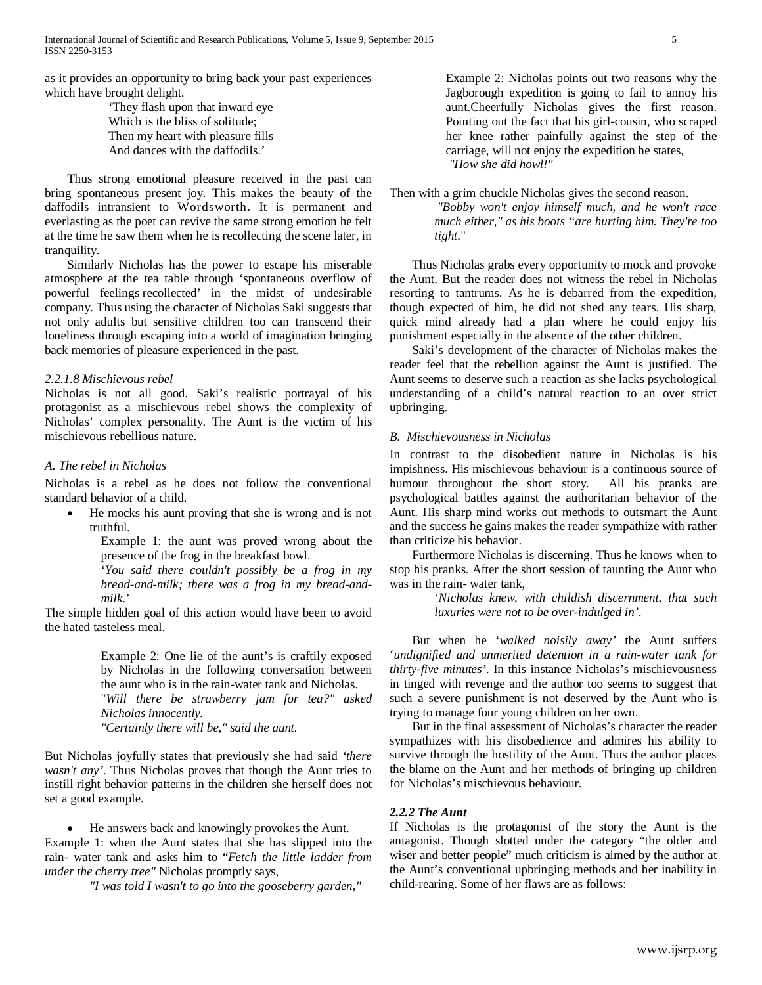as it provides an opportunity to bring back your past experiences which have brought delight.

> 'They flash upon that inward eye Which is the bliss of solitude; Then my heart with pleasure fills And dances with the daffodils.'

Thus strong emotional pleasure received in the past can bring spontaneous present joy. This makes the beauty of the daffodils intransient to Wordsworth. It is permanent and everlasting as the poet can revive the same strong emotion he felt at the time he saw them when he is recollecting the scene later, in tranquility.

Similarly Nicholas has the power to escape his miserable atmosphere at the tea table through 'spontaneous overflow of powerful feelings recollected' in the midst of undesirable company. Thus using the character of Nicholas Saki suggests that not only adults but sensitive children too can transcend their loneliness through escaping into a world of imagination bringing back memories of pleasure experienced in the past.

#### *2.2.1.8 Mischievous rebel*

Nicholas is not all good. Saki's realistic portrayal of his protagonist as a mischievous rebel shows the complexity of Nicholas' complex personality. The Aunt is the victim of his mischievous rebellious nature.

## *A. The rebel in Nicholas*

Nicholas is a rebel as he does not follow the conventional standard behavior of a child.

• He mocks his aunt proving that she is wrong and is not truthful.

Example 1: the aunt was proved wrong about the presence of the frog in the breakfast bowl.

'*You said there couldn't possibly be a frog in my bread-and-milk; there was a frog in my bread-andmilk*.'

The simple hidden goal of this action would have been to avoid the hated tasteless meal.

> Example 2: One lie of the aunt's is craftily exposed by Nicholas in the following conversation between the aunt who is in the rain-water tank and Nicholas.

> "*Will there be strawberry jam for tea?" asked Nicholas innocently.*

*"Certainly there will be," said the aunt.*

But Nicholas joyfully states that previously she had said *'there wasn't any'*. Thus Nicholas proves that though the Aunt tries to instill right behavior patterns in the children she herself does not set a good example.

• He answers back and knowingly provokes the Aunt. Example 1: when the Aunt states that she has slipped into the rain- water tank and asks him to "*Fetch the little ladder from under the cherry tree"* Nicholas promptly says,

*"I was told I wasn't to go into the gooseberry garden,"*

Example 2: Nicholas points out two reasons why the Jagborough expedition is going to fail to annoy his aunt.Cheerfully Nicholas gives the first reason. Pointing out the fact that his girl-cousin, who scraped her knee rather painfully against the step of the carriage, will not enjoy the expedition he states, *"How she did howl!"* 

Then with a grim chuckle Nicholas gives the second reason.

*"Bobby won't enjoy himself much, and he won't race much either," as his boots "are hurting him. They're too tight*."

Thus Nicholas grabs every opportunity to mock and provoke the Aunt. But the reader does not witness the rebel in Nicholas resorting to tantrums. As he is debarred from the expedition, though expected of him, he did not shed any tears. His sharp, quick mind already had a plan where he could enjoy his punishment especially in the absence of the other children.

Saki's development of the character of Nicholas makes the reader feel that the rebellion against the Aunt is justified. The Aunt seems to deserve such a reaction as she lacks psychological understanding of a child's natural reaction to an over strict upbringing.

#### *B. Mischievousness in Nicholas*

In contrast to the disobedient nature in Nicholas is his impishness. His mischievous behaviour is a continuous source of humour throughout the short story. All his pranks are psychological battles against the authoritarian behavior of the Aunt. His sharp mind works out methods to outsmart the Aunt and the success he gains makes the reader sympathize with rather than criticize his behavior.

Furthermore Nicholas is discerning. Thus he knows when to stop his pranks. After the short session of taunting the Aunt who was in the rain- water tank,

> '*Nicholas knew, with childish discernment, that such luxuries were not to be over-indulged in'*.

But when he '*walked noisily away'* the Aunt suffers '*undignified and unmerited detention in a rain-water tank for thirty-five minutes'*. In this instance Nicholas's mischievousness in tinged with revenge and the author too seems to suggest that such a severe punishment is not deserved by the Aunt who is trying to manage four young children on her own.

But in the final assessment of Nicholas's character the reader sympathizes with his disobedience and admires his ability to survive through the hostility of the Aunt. Thus the author places the blame on the Aunt and her methods of bringing up children for Nicholas's mischievous behaviour.

## *2.2.2 The Aunt*

If Nicholas is the protagonist of the story the Aunt is the antagonist. Though slotted under the category "the older and wiser and better people" much criticism is aimed by the author at the Aunt's conventional upbringing methods and her inability in child-rearing. Some of her flaws are as follows: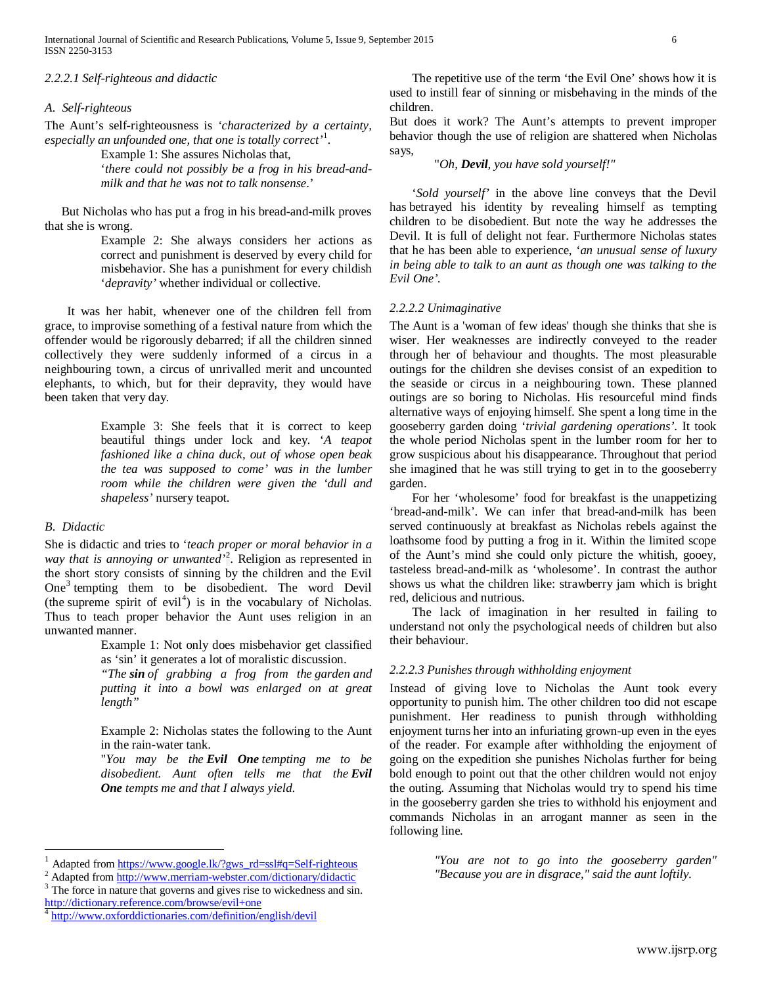## *2.2.2.1 Self-righteous and didactic*

#### *A. Self-righteous*

The Aunt's self-righteousness is *'characterized by a certainty, especially an unfounded one, that one is totally correct'*[1](#page-0-0) .

Example 1: She assures Nicholas that, '*there could not possibly be a frog in his bread-and-*

*milk and that he was not to talk nonsense*.'

But Nicholas who has put a frog in his bread-and-milk proves that she is wrong.

> Example 2: She always considers her actions as correct and punishment is deserved by every child for misbehavior. She has a punishment for every childish '*depravity'* whether individual or collective.

It was her habit, whenever one of the children fell from grace, to improvise something of a festival nature from which the offender would be rigorously debarred; if all the children sinned collectively they were suddenly informed of a circus in a neighbouring town, a circus of unrivalled merit and uncounted elephants, to which, but for their depravity, they would have been taken that very day.

> Example 3: She feels that it is correct to keep beautiful things under lock and key. '*A teapot fashioned like a china duck, out of whose open beak the tea was supposed to come' was in the lumber room while the children were given the 'dull and shapeless'* nursery teapot.

#### *B. Didactic*

She is didactic and tries to '*teach proper or moral behavior in a way that is annoying or unwanted'*[2](#page-5-0) . Religion as represented in the short story consists of sinning by the children and the Evil One<sup>[3](#page-5-1)</sup> tempting them to be disobedient. The word Devil (the supreme spirit of evil<sup>[4](#page-5-2)</sup>) is in the vocabulary of Nicholas. Thus to teach proper behavior the Aunt uses religion in an unwanted manner.

Example 1: Not only does misbehavior get classified as 'sin' it generates a lot of moralistic discussion.

*"The sin of grabbing a frog from the garden and putting it into a bowl was enlarged on at great length"*

Example 2: Nicholas states the following to the Aunt in the rain-water tank.

"*You may be the Evil One tempting me to be disobedient. Aunt often tells me that the Evil One tempts me and that I always yield*.

<span id="page-5-1"></span><http://dictionary.reference.com/browse/evil+one>

The repetitive use of the term 'the Evil One' shows how it is used to instill fear of sinning or misbehaving in the minds of the children.

But does it work? The Aunt's attempts to prevent improper behavior though the use of religion are shattered when Nicholas says,

"*Oh, Devil, you have sold yourself!"*

'*Sold yourself'* in the above line conveys that the Devil has betrayed his identity by revealing himself as tempting children to be disobedient. But note the way he addresses the Devil. It is full of delight not fear. Furthermore Nicholas states that he has been able to experience, '*an unusual sense of luxury in being able to talk to an aunt as though one was talking to the Evil One'.*

#### *2.2.2.2 Unimaginative*

The Aunt is a 'woman of few ideas' though she thinks that she is wiser. Her weaknesses are indirectly conveyed to the reader through her of behaviour and thoughts. The most pleasurable outings for the children she devises consist of an expedition to the seaside or circus in a neighbouring town. These planned outings are so boring to Nicholas. His resourceful mind finds alternative ways of enjoying himself. She spent a long time in the gooseberry garden doing '*trivial gardening operations'*. It took the whole period Nicholas spent in the lumber room for her to grow suspicious about his disappearance. Throughout that period she imagined that he was still trying to get in to the gooseberry garden.

For her 'wholesome' food for breakfast is the unappetizing 'bread-and-milk'. We can infer that bread-and-milk has been served continuously at breakfast as Nicholas rebels against the loathsome food by putting a frog in it. Within the limited scope of the Aunt's mind she could only picture the whitish, gooey, tasteless bread-and-milk as 'wholesome'. In contrast the author shows us what the children like: strawberry jam which is bright red, delicious and nutrious.

The lack of imagination in her resulted in failing to understand not only the psychological needs of children but also their behaviour.

#### *2.2.2.3 Punishes through withholding enjoyment*

Instead of giving love to Nicholas the Aunt took every opportunity to punish him. The other children too did not escape punishment. Her readiness to punish through withholding enjoyment turns her into an infuriating grown-up even in the eyes of the reader. For example after withholding the enjoyment of going on the expedition she punishes Nicholas further for being bold enough to point out that the other children would not enjoy the outing. Assuming that Nicholas would try to spend his time in the gooseberry garden she tries to withhold his enjoyment and commands Nicholas in an arrogant manner as seen in the following line.

> *"You are not to go into the gooseberry garden" "Because you are in disgrace," said the aunt loftily*.

<sup>&</sup>lt;sup>1</sup> Adapted fro[m https://www.google.lk/?gws\\_rd=ssl#q=Self-righteous](https://www.google.lk/?gws_rd=ssl#q=Self-righteous)  $^2$  Adapted fro[m http://www.merriam-webster.com/dictionary/didactic](http://www.merriam-webster.com/dictionary/didactic)  $^3$  The force in nature that governs and gives rise to wickedness and sin.

<span id="page-5-3"></span><span id="page-5-0"></span>

<span id="page-5-2"></span><sup>4</sup> <http://www.oxforddictionaries.com/definition/english/devil>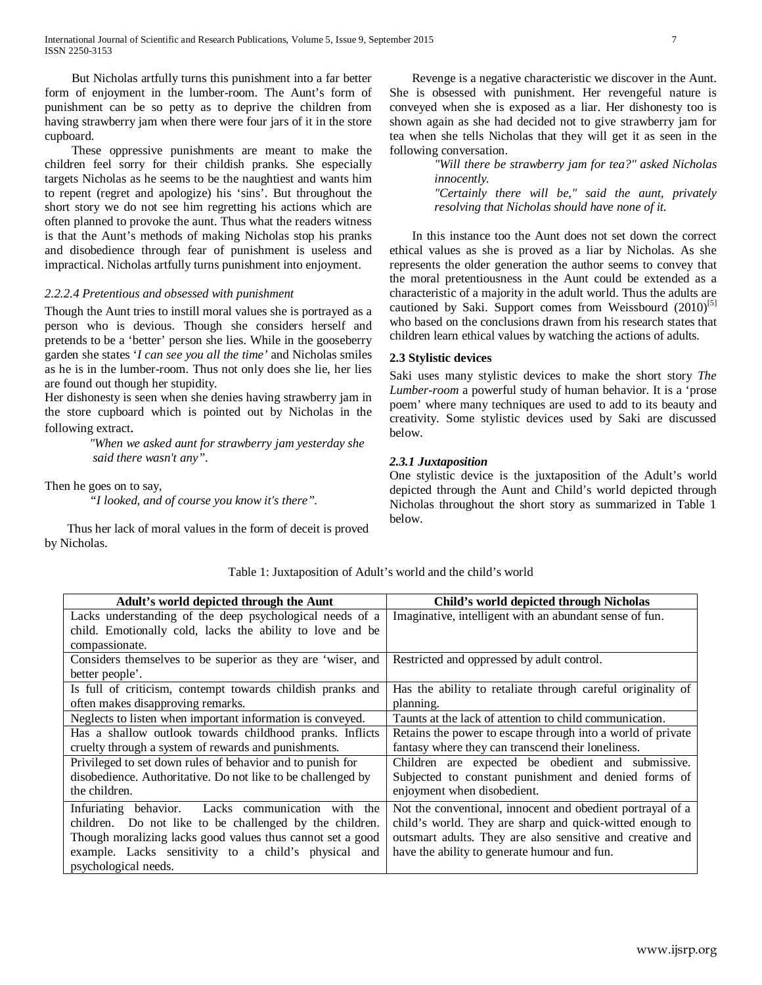But Nicholas artfully turns this punishment into a far better form of enjoyment in the lumber-room. The Aunt's form of punishment can be so petty as to deprive the children from having strawberry jam when there were four jars of it in the store cupboard.

These oppressive punishments are meant to make the children feel sorry for their childish pranks. She especially targets Nicholas as he seems to be the naughtiest and wants him to repent (regret and apologize) his 'sins'. But throughout the short story we do not see him regretting his actions which are often planned to provoke the aunt. Thus what the readers witness is that the Aunt's methods of making Nicholas stop his pranks and disobedience through fear of punishment is useless and impractical. Nicholas artfully turns punishment into enjoyment.

## *2.2.2.4 Pretentious and obsessed with punishment*

Though the Aunt tries to instill moral values she is portrayed as a person who is devious. Though she considers herself and pretends to be a 'better' person she lies. While in the gooseberry garden she states '*I can see you all the time'* and Nicholas smiles as he is in the lumber-room. Thus not only does she lie, her lies are found out though her stupidity.

Her dishonesty is seen when she denies having strawberry jam in the store cupboard which is pointed out by Nicholas in the following extract.

> *"When we asked aunt for strawberry jam yesterday she said there wasn't any".*

Then he goes on to say,

*"I looked, and of course you know it's there".* 

Thus her lack of moral values in the form of deceit is proved by Nicholas.

Revenge is a negative characteristic we discover in the Aunt. She is obsessed with punishment. Her revengeful nature is conveyed when she is exposed as a liar. Her dishonesty too is shown again as she had decided not to give strawberry jam for tea when she tells Nicholas that they will get it as seen in the following conversation.

> *"Will there be strawberry jam for tea?" asked Nicholas innocently. "Certainly there will be," said the aunt, privately resolving that Nicholas should have none of it.*

In this instance too the Aunt does not set down the correct ethical values as she is proved as a liar by Nicholas. As she represents the older generation the author seems to convey that the moral pretentiousness in the Aunt could be extended as a characteristic of a majority in the adult world. Thus the adults are cautioned by Saki. Support comes from Weissbourd (2010)<sup>[5]</sup> who based on the conclusions drawn from his research states that children learn ethical values by watching the actions of adults.

## **2.3 Stylistic devices**

Saki uses many stylistic devices to make the short story *The Lumber-room* a powerful study of human behavior. It is a 'prose poem' where many techniques are used to add to its beauty and creativity. Some stylistic devices used by Saki are discussed below.

## *2.3.1 Juxtaposition*

One stylistic device is the juxtaposition of the Adult's world depicted through the Aunt and Child's world depicted through Nicholas throughout the short story as summarized in Table 1 below.

Table 1: Juxtaposition of Adult's world and the child's world

| Adult's world depicted through the Aunt                      | Child's world depicted through Nicholas                     |
|--------------------------------------------------------------|-------------------------------------------------------------|
| Lacks understanding of the deep psychological needs of a     | Imaginative, intelligent with an abundant sense of fun.     |
| child. Emotionally cold, lacks the ability to love and be    |                                                             |
| compassionate.                                               |                                                             |
| Considers themselves to be superior as they are 'wiser, and  | Restricted and oppressed by adult control.                  |
| better people'.                                              |                                                             |
| Is full of criticism, contempt towards childish pranks and   | Has the ability to retaliate through careful originality of |
| often makes disapproving remarks.                            | planning.                                                   |
| Neglects to listen when important information is conveyed.   | Taunts at the lack of attention to child communication.     |
| Has a shallow outlook towards childhood pranks. Inflicts     | Retains the power to escape through into a world of private |
| cruelty through a system of rewards and punishments.         | fantasy where they can transcend their loneliness.          |
| Privileged to set down rules of behavior and to punish for   | Children are expected be obedient and submissive.           |
| disobedience. Authoritative. Do not like to be challenged by | Subjected to constant punishment and denied forms of        |
| the children.                                                | enjoyment when disobedient.                                 |
| Lacks communication<br>Infuriating behavior.<br>with the     | Not the conventional, innocent and obedient portrayal of a  |
| children. Do not like to be challenged by the children.      | child's world. They are sharp and quick-witted enough to    |
| Though moralizing lacks good values thus cannot set a good   | outsmart adults. They are also sensitive and creative and   |
| example. Lacks sensitivity to a child's physical and         | have the ability to generate humour and fun.                |
| psychological needs.                                         |                                                             |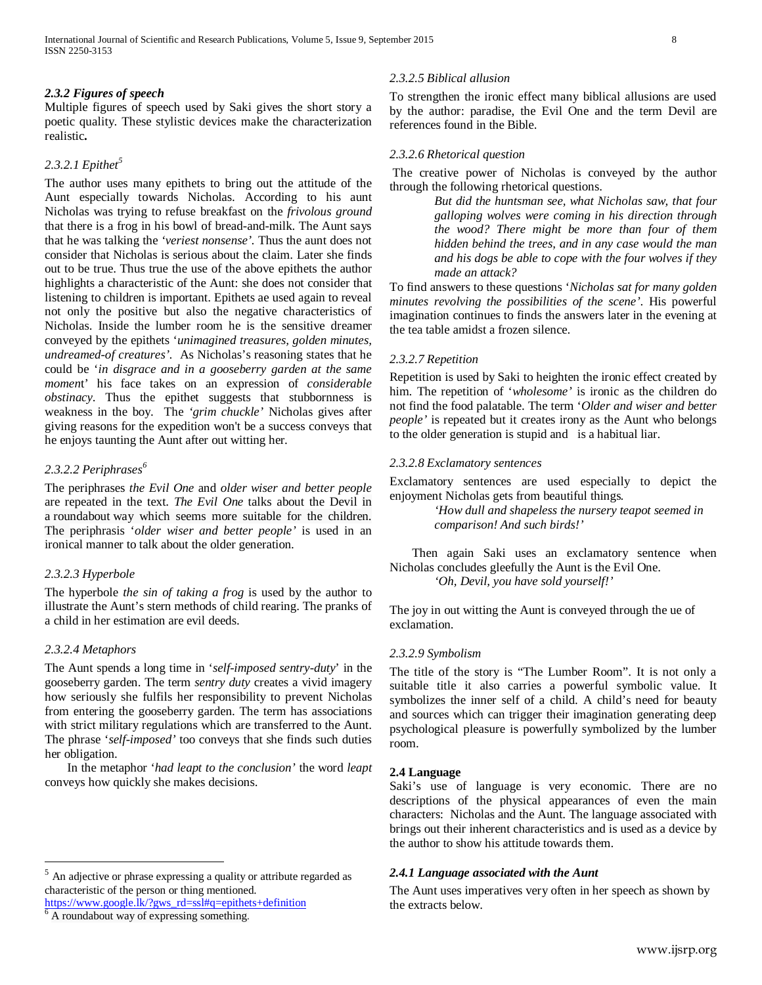## *2.3.2 Figures of speech*

Multiple figures of speech used by Saki gives the short story a poetic quality. These stylistic devices make the characterization realistic**.**

## *2.3.2.1 Epithet[5](#page-5-3)*

The author uses many epithets to bring out the attitude of the Aunt especially towards Nicholas. According to his aunt Nicholas was trying to refuse breakfast on the *frivolous ground* that there is a frog in his bowl of bread-and-milk. The Aunt says that he was talking the *'veriest nonsense'.* Thus the aunt does not consider that Nicholas is serious about the claim. Later she finds out to be true. Thus true the use of the above epithets the author highlights a characteristic of the Aunt: she does not consider that listening to children is important. Epithets ae used again to reveal not only the positive but also the negative characteristics of Nicholas. Inside the lumber room he is the sensitive dreamer conveyed by the epithets '*unimagined treasures, golden minutes, undreamed-of creatures'.* As Nicholas's reasoning states that he could be '*in disgrace and in a gooseberry garden at the same momen*t' his face takes on an expression of *considerable obstinacy*. Thus the epithet suggests that stubbornness is weakness in the boy. The *'grim chuckle'* Nicholas gives after giving reasons for the expedition won't be a success conveys that he enjoys taunting the Aunt after out witting her.

## *2.3.2.2 Periphrases[6](#page-7-0)*

The periphrases *the Evil One* and *older wiser and better people*  are repeated in the text. *The Evil One* talks about the Devil in a roundabout way which seems more suitable for the children. The periphrasis '*older wiser and better people'* is used in an ironical manner to talk about the older generation.

## *2.3.2.3 Hyperbole*

The hyperbole *the sin of taking a frog* is used by the author to illustrate the Aunt's stern methods of child rearing. The pranks of a child in her estimation are evil deeds.

## *2.3.2.4 Metaphors*

The Aunt spends a long time in '*self-imposed sentry-duty*' in the gooseberry garden. The term *sentry duty* creates a vivid imagery how seriously she fulfils her responsibility to prevent Nicholas from entering the gooseberry garden. The term has associations with strict military regulations which are transferred to the Aunt. The phrase '*self-imposed'* too conveys that she finds such duties her obligation.

In the metaphor '*had leapt to the conclusion'* the word *leapt* conveys how quickly she makes decisions.

# *2.3.2.5 Biblical allusion*

To strengthen the ironic effect many biblical allusions are used by the author: paradise, the Evil One and the term Devil are references found in the Bible.

## *2.3.2.6 Rhetorical question*

The creative power of Nicholas is conveyed by the author through the following rhetorical questions.

> *But did the huntsman see, what Nicholas saw, that four galloping wolves were coming in his direction through the wood? There might be more than four of them hidden behind the trees, and in any case would the man and his dogs be able to cope with the four wolves if they made an attack?*

To find answers to these questions '*Nicholas sat for many golden minutes revolving the possibilities of the scene'*. His powerful imagination continues to finds the answers later in the evening at the tea table amidst a frozen silence.

## *2.3.2.7 Repetition*

Repetition is used by Saki to heighten the ironic effect created by him. The repetition of '*wholesome'* is ironic as the children do not find the food palatable. The term '*Older and wiser and better people'* is repeated but it creates irony as the Aunt who belongs to the older generation is stupid and is a habitual liar.

## *2.3.2.8 Exclamatory sentences*

Exclamatory sentences are used especially to depict the enjoyment Nicholas gets from beautiful things*.*

> *'How dull and shapeless the nursery teapot seemed in comparison! And such birds!'*

Then again Saki uses an exclamatory sentence when Nicholas concludes gleefully the Aunt is the Evil One. *'Oh, Devil, you have sold yourself!'*

The joy in out witting the Aunt is conveyed through the ue of exclamation.

## *2.3.2.9 Symbolism*

The title of the story is "The Lumber Room". It is not only a suitable title it also carries a powerful symbolic value. It symbolizes the inner self of a child. A child's need for beauty and sources which can trigger their imagination generating deep psychological pleasure is powerfully symbolized by the lumber room.

## **2.4 Language**

Saki's use of language is very economic. There are no descriptions of the physical appearances of even the main characters: Nicholas and the Aunt. The language associated with brings out their inherent characteristics and is used as a device by the author to show his attitude towards them.

## *2.4.1 Language associated with the Aunt*

The Aunt uses imperatives very often in her speech as shown by the extracts below.

 $<sup>5</sup>$  An adjective or phrase expressing a quality or attribute regarded as</sup> characteristic of the person or thing mentioned.

<span id="page-7-1"></span><span id="page-7-0"></span>[https://www.google.lk/?gws\\_rd=ssl#q=epithets+definition](https://www.google.lk/?gws_rd=ssl#q=epithets+definition)

<sup>6</sup> A roundabout way of expressing something.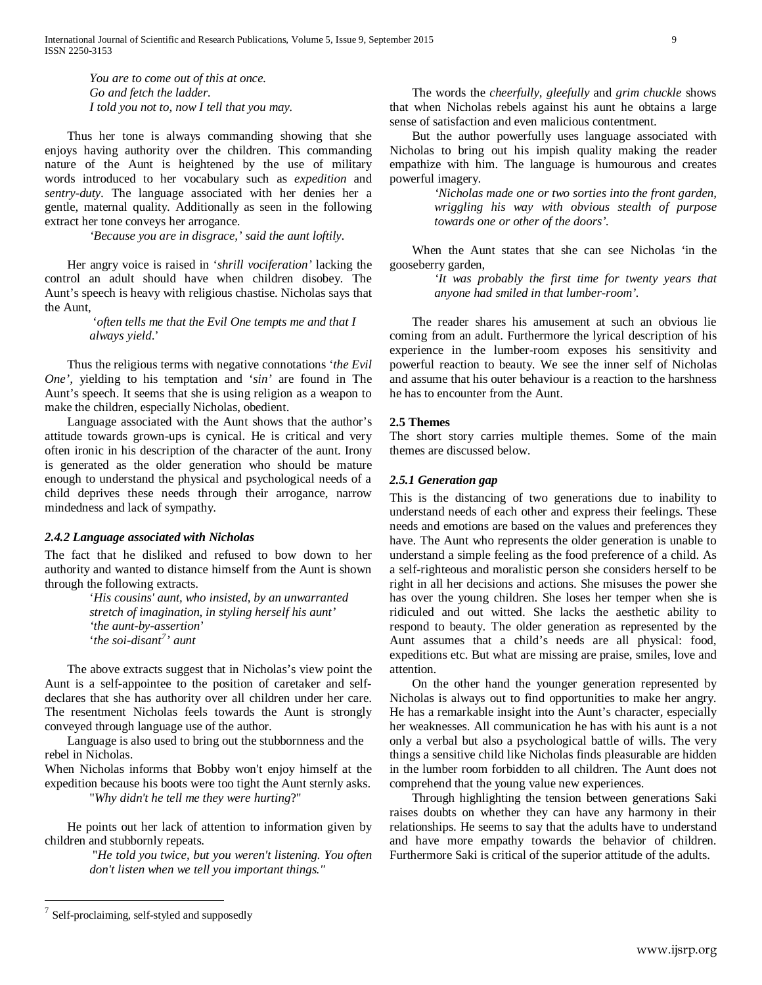*You are to come out of this at once. Go and fetch the ladder. I told you not to, now I tell that you may.* 

Thus her tone is always commanding showing that she enjoys having authority over the children. This commanding nature of the Aunt is heightened by the use of military words introduced to her vocabulary such as *expedition* and *sentry-duty.* The language associated with her denies her a gentle, maternal quality. Additionally as seen in the following extract her tone conveys her arrogance.

*'Because you are in disgrace,' said the aunt loftily.*

Her angry voice is raised in '*shrill vociferation'* lacking the control an adult should have when children disobey. The Aunt's speech is heavy with religious chastise. Nicholas says that the Aunt,

> '*often tells me that the Evil One tempts me and that I always yield*.'

Thus the religious terms with negative connotations '*the Evil One',* yielding to his temptation and '*sin'* are found in The Aunt's speech. It seems that she is using religion as a weapon to make the children, especially Nicholas, obedient.

Language associated with the Aunt shows that the author's attitude towards grown-ups is cynical. He is critical and very often ironic in his description of the character of the aunt. Irony is generated as the older generation who should be mature enough to understand the physical and psychological needs of a child deprives these needs through their arrogance, narrow mindedness and lack of sympathy.

## *2.4.2 Language associated with Nicholas*

The fact that he disliked and refused to bow down to her authority and wanted to distance himself from the Aunt is shown through the following extracts.

> '*His cousins' aunt, who insisted, by an unwarranted stretch of imagination, in styling herself his aunt' 'the aunt-by-assertion*' '*the soi-disant[7](#page-7-1) ' aunt*

The above extracts suggest that in Nicholas's view point the Aunt is a self-appointee to the position of caretaker and selfdeclares that she has authority over all children under her care. The resentment Nicholas feels towards the Aunt is strongly conveyed through language use of the author.

Language is also used to bring out the stubbornness and the rebel in Nicholas.

When Nicholas informs that Bobby won't enjoy himself at the expedition because his boots were too tight the Aunt sternly asks. "*Why didn't he tell me they were hurting*?"

<span id="page-8-0"></span>He points out her lack of attention to information given by children and stubbornly repeats.

"*He told you twice, but you weren't listening. You often don't listen when we tell you important things."*

The words the *cheerfully, gleefully* and *grim chuckle* shows that when Nicholas rebels against his aunt he obtains a large sense of satisfaction and even malicious contentment.

But the author powerfully uses language associated with Nicholas to bring out his impish quality making the reader empathize with him. The language is humourous and creates powerful imagery.

> *'Nicholas made one or two sorties into the front garden, wriggling his way with obvious stealth of purpose towards one or other of the doors'.*

When the Aunt states that she can see Nicholas 'in the gooseberry garden,

> *'It was probably the first time for twenty years that anyone had smiled in that lumber-room'.*

The reader shares his amusement at such an obvious lie coming from an adult. Furthermore the lyrical description of his experience in the lumber-room exposes his sensitivity and powerful reaction to beauty. We see the inner self of Nicholas and assume that his outer behaviour is a reaction to the harshness he has to encounter from the Aunt.

## **2.5 Themes**

The short story carries multiple themes. Some of the main themes are discussed below.

## *2.5.1 Generation gap*

This is the distancing of two generations due to inability to understand needs of each other and express their feelings. These needs and emotions are based on the values and preferences they have. The Aunt who represents the older generation is unable to understand a simple feeling as the food preference of a child. As a self-righteous and moralistic person she considers herself to be right in all her decisions and actions. She misuses the power she has over the young children. She loses her temper when she is ridiculed and out witted. She lacks the aesthetic ability to respond to beauty. The older generation as represented by the Aunt assumes that a child's needs are all physical: food, expeditions etc. But what are missing are praise, smiles, love and attention.

On the other hand the younger generation represented by Nicholas is always out to find opportunities to make her angry. He has a remarkable insight into the Aunt's character, especially her weaknesses. All communication he has with his aunt is a not only a verbal but also a psychological battle of wills. The very things a sensitive child like Nicholas finds pleasurable are hidden in the lumber room forbidden to all children. The Aunt does not comprehend that the young value new experiences.

Through highlighting the tension between generations Saki raises doubts on whether they can have any harmony in their relationships. He seems to say that the adults have to understand and have more empathy towards the behavior of children. Furthermore Saki is critical of the superior attitude of the adults.

Self-proclaiming, self-styled and supposedly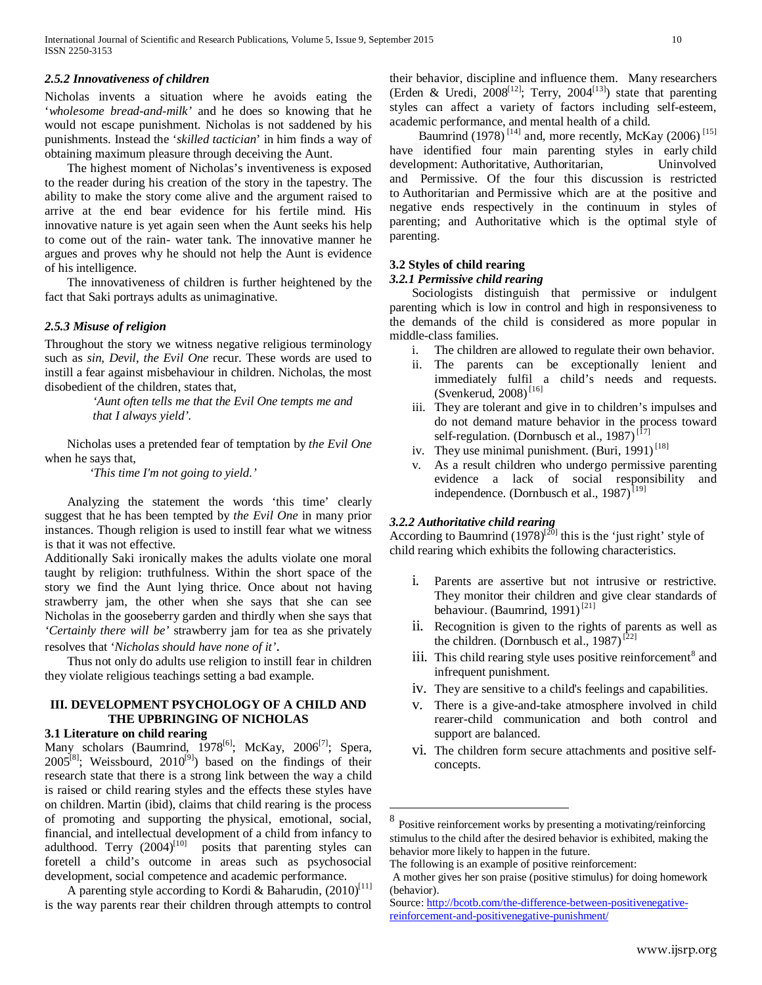#### *2.5.2 Innovativeness of children*

Nicholas invents a situation where he avoids eating the '*wholesome bread-and-milk'* and he does so knowing that he would not escape punishment. Nicholas is not saddened by his punishments. Instead the '*skilled tactician*' in him finds a way of obtaining maximum pleasure through deceiving the Aunt.

The highest moment of Nicholas's inventiveness is exposed to the reader during his creation of the story in the tapestry. The ability to make the story come alive and the argument raised to arrive at the end bear evidence for his fertile mind. His innovative nature is yet again seen when the Aunt seeks his help to come out of the rain- water tank. The innovative manner he argues and proves why he should not help the Aunt is evidence of his intelligence.

The innovativeness of children is further heightened by the fact that Saki portrays adults as unimaginative.

#### *2.5.3 Misuse of religion*

Throughout the story we witness negative religious terminology such as *sin, Devil*, *the Evil One* recur. These words are used to instill a fear against misbehaviour in children. Nicholas, the most disobedient of the children, states that,

> *'Aunt often tells me that the Evil One tempts me and that I always yield'.*

Nicholas uses a pretended fear of temptation by *the Evil One*  when he says that,

*'This time I'm not going to yield.'*

Analyzing the statement the words 'this time' clearly suggest that he has been tempted by *the Evil One* in many prior instances. Though religion is used to instill fear what we witness is that it was not effective.

Additionally Saki ironically makes the adults violate one moral taught by religion: truthfulness. Within the short space of the story we find the Aunt lying thrice. Once about not having strawberry jam, the other when she says that she can see Nicholas in the gooseberry garden and thirdly when she says that *'Certainly there will be'* strawberry jam for tea as she privately resolves that '*Nicholas should have none of it'*.

Thus not only do adults use religion to instill fear in children

they violate religious teachings setting a bad example.

# **III. DEVELOPMENT PSYCHOLOGY OF A CHILD AND THE UPBRINGING OF NICHOLAS**

#### **3.1 Literature on child rearing**

Many scholars (Baumrind, 1978<sup>[6]</sup>; McKay, 2006<sup>[7]</sup>; Spera,  $2005^{[8]}$ ; Weissbourd,  $2010^{[9]}$ ) based on the findings of their research state that there is a strong link between the way a child is raised or child rearing styles and the effects these styles have on children. Martin (ibid), claims that child rearing is the process of promoting and supporting the physical, emotional, social, financial, and intellectual development of a child from infancy to adulthood. Terry  $(2004)^{[10]}$  posits that parenting styles can foretell a child's outcome in areas such as psychosocial development, social competence and academic performance.

<span id="page-9-0"></span>A parenting style according to Kordi & Baharudin,  $(2010)^{[11]}$ is the way parents rear their children through attempts to control their behavior, discipline and influence them. Many researchers (Erden & Uredi,  $2008^{[12]}$ ; Terry,  $2004^{[13]}$ ) state that parenting styles can affect a variety of factors including self-esteem, academic performance, and mental health of a child.

Baumrind (1978)<sup>[14]</sup> and, more recently, McKay (2006)<sup>[15]</sup> have identified four main parenting styles in early child development: Authoritative, Authoritarian, Uninvolved and Permissive. Of the four this discussion is restricted to Authoritarian and Permissive which are at the positive and negative ends respectively in the continuum in styles of parenting; and Authoritative which is the optimal style of parenting.

#### **3.2 Styles of child rearing**

#### *3.2.1 Permissive child rearing*

Sociologists distinguish that permissive or indulgent parenting which is low in control and high in responsiveness to the demands of the child is considered as more popular in middle-class families.

- i. The children are allowed to regulate their own behavior.
- ii. The parents can be exceptionally lenient and immediately fulfil a child's needs and requests. (Svenkerud, 2008)<sup>[16]</sup>
- iii. They are tolerant and give in to children's impulses and do not demand mature behavior in the process toward self-regulation. (Dornbusch et al.,  $1987$ )<sup>[17]</sup>
- iv. They use minimal punishment. (Buri,  $1991$ )<sup>[18]</sup>
- v. As a result children who undergo permissive parenting evidence a lack of social responsibility and independence. (Dornbusch et al.,  $1987$ )<sup>[19]</sup>

#### *3.2.2 Authoritative child rearing*

According to Baumrind  $(1978)^{[20]}$  this is the 'just right' style of child rearing which exhibits the following characteristics.

- i. Parents are assertive but not intrusive or restrictive. They monitor their children and give clear standards of behaviour. (Baumrind, 1991)<sup>[21]</sup>
- ii. Recognition is given to the rights of parents as well as the children. (Dornbusch et al., 1987)<sup>[22]</sup>
- iii. This child rearing style uses positive reinforcement $\delta$  and infrequent punishment.
- iv. They are sensitive to a child's feelings and capabilities.
- v. There is a give-and-take atmosphere involved in child rearer-child communication and both control and support are balanced.
- vi. The children form secure attachments and positive selfconcepts.

 <sup>8</sup> Positive reinforcement works by presenting a motivating/reinforcing stimulus to the child after the desired behavior is exhibited, making the behavior more likely to happen in the future.

The following is an example of positive reinforcement:

A mother gives her son praise (positive stimulus) for doing homework (behavior).

Source: [http://bcotb.com/the-difference-between-positivenegative](http://bcotb.com/the-difference-between-positivenegative-reinforcement-and-positivenegative-punishment/)[reinforcement-and-positivenegative-punishment/](http://bcotb.com/the-difference-between-positivenegative-reinforcement-and-positivenegative-punishment/)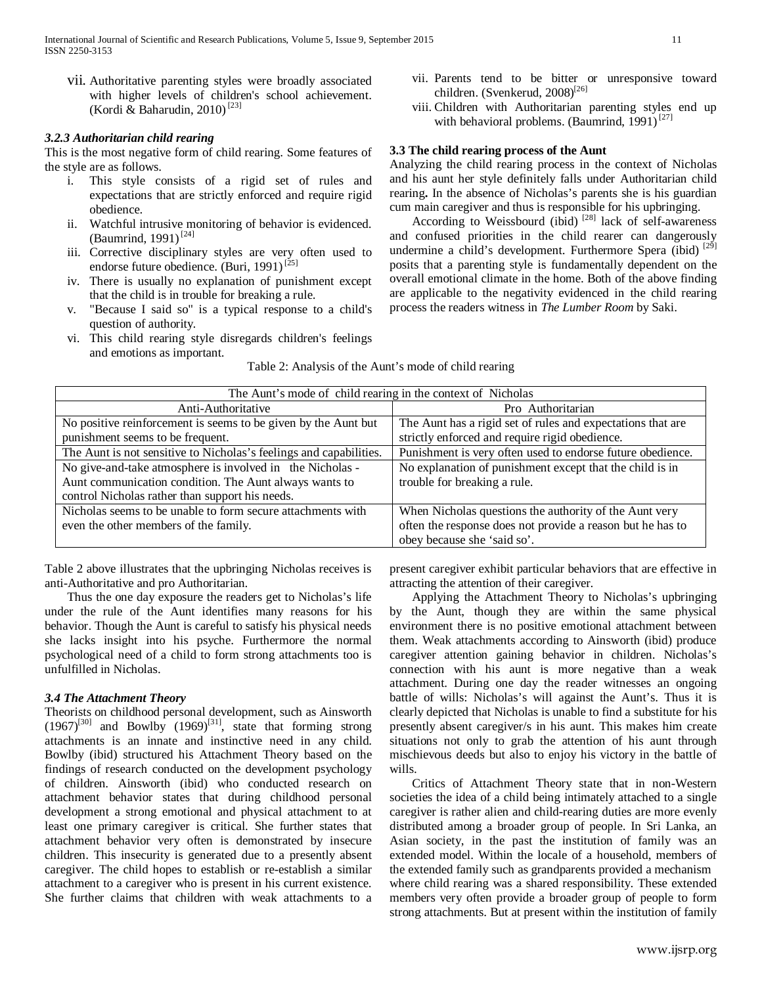vii. Authoritative parenting styles were broadly associated with higher levels of children's school achievement. (Kordi & Baharudin, 2010)<sup>[23]</sup>

#### *3.2.3 Authoritarian child rearing*

This is the most negative form of child rearing. Some features of the style are as follows.

- i. This style consists of a rigid set of rules and expectations that are strictly enforced and require rigid obedience.
- ii. Watchful intrusive monitoring of behavior is evidenced. (Baumrind, 1991)<sup>[24]</sup>
- iii. Corrective disciplinary styles are very often used to endorse future obedience. (Buri, 1991)<sup>[25]</sup>
- iv. There is usually no explanation of punishment except that the child is in trouble for breaking a rule.
- v. "Because I said so" is a typical response to a child's question of authority.
- vi. This child rearing style disregards children's feelings and emotions as important.
- vii. Parents tend to be bitter or unresponsive toward children. (Svenkerud, 2008)<sup>[26]</sup>
- viii. Children with Authoritarian parenting styles end up with behavioral problems. (Baumrind, 1991)<sup>[27]</sup>

## **3.3 The child rearing process of the Aunt**

Analyzing the child rearing process in the context of Nicholas and his aunt her style definitely falls under Authoritarian child rearing**.** In the absence of Nicholas's parents she is his guardian cum main caregiver and thus is responsible for his upbringing.

According to Weissbourd (ibid)  $^{[28]}$  lack of self-awareness and confused priorities in the child rearer can dangerously undermine a child's development. Furthermore Spera (ibid) [29] posits that a parenting style is fundamentally dependent on the overall emotional climate in the home. Both of the above finding are applicable to the negativity evidenced in the child rearing process the readers witness in *The Lumber Room* by Saki.

| The Aunt's mode of child rearing in the context of Nicholas        |                                                             |
|--------------------------------------------------------------------|-------------------------------------------------------------|
| Anti-Authoritative                                                 | Pro Authoritarian                                           |
| No positive reinforcement is seems to be given by the Aunt but     | The Aunt has a rigid set of rules and expectations that are |
| punishment seems to be frequent.                                   | strictly enforced and require rigid obedience.              |
| The Aunt is not sensitive to Nicholas's feelings and capabilities. | Punishment is very often used to endorse future obedience.  |
| No give-and-take atmosphere is involved in the Nicholas -          | No explanation of punishment except that the child is in    |
| Aunt communication condition. The Aunt always wants to             | trouble for breaking a rule.                                |
| control Nicholas rather than support his needs.                    |                                                             |
| Nicholas seems to be unable to form secure attachments with        | When Nicholas questions the authority of the Aunt very      |
| even the other members of the family.                              | often the response does not provide a reason but he has to  |
|                                                                    | obey because she 'said so'.                                 |

Table 2: Analysis of the Aunt's mode of child rearing

Table 2 above illustrates that the upbringing Nicholas receives is anti-Authoritative and pro Authoritarian.

Thus the one day exposure the readers get to Nicholas's life under the rule of the Aunt identifies many reasons for his behavior. Though the Aunt is careful to satisfy his physical needs she lacks insight into his psyche. Furthermore the normal psychological need of a child to form strong attachments too is unfulfilled in Nicholas.

## *3.4 The Attachment Theory*

Theorists on childhood personal development, such as Ainsworth  $(1967)^{[30]}$  and Bowlby  $(1969)^{[31]}$ , state that forming strong attachments is an innate and instinctive need in any child. Bowlby (ibid) structured his Attachment Theory based on the findings of research conducted on the development psychology of children. Ainsworth (ibid) who conducted research on attachment behavior states that during childhood personal development a strong emotional and physical attachment to at least one primary caregiver is critical. She further states that attachment behavior very often is demonstrated by insecure children. This insecurity is generated due to a presently absent caregiver. The child hopes to establish or re-establish a similar attachment to a caregiver who is present in his current existence. She further claims that children with weak attachments to a

present caregiver exhibit particular behaviors that are effective in attracting the attention of their caregiver.

Applying the Attachment Theory to Nicholas's upbringing by the Aunt, though they are within the same physical environment there is no positive emotional attachment between them. Weak attachments according to Ainsworth (ibid) produce caregiver attention gaining behavior in children. Nicholas's connection with his aunt is more negative than a weak attachment. During one day the reader witnesses an ongoing battle of wills: Nicholas's will against the Aunt's. Thus it is clearly depicted that Nicholas is unable to find a substitute for his presently absent caregiver/s in his aunt. This makes him create situations not only to grab the attention of his aunt through mischievous deeds but also to enjoy his victory in the battle of wills.

Critics of Attachment Theory state that in non-Western societies the idea of a child being intimately attached to a single caregiver is rather alien and child-rearing duties are more evenly distributed among a broader group of people. In Sri Lanka, an Asian society, in the past the institution of family was an extended model. Within the locale of a household, members of the extended family such as grandparents provided a mechanism where child rearing was a shared responsibility. These extended members very often provide a broader group of people to form strong attachments. But at present within the institution of family